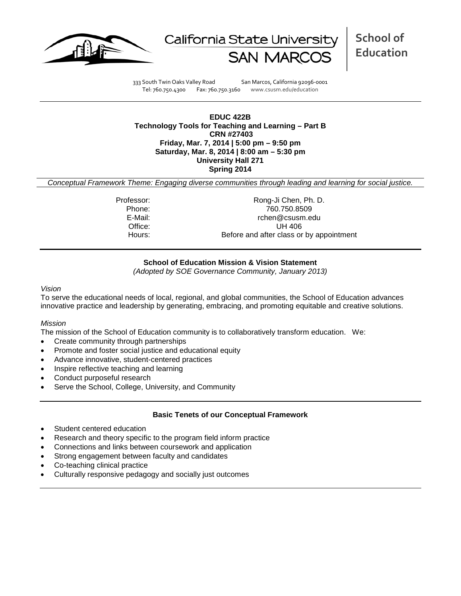



**School of Education**

333 South Twin Oaks Valley Road San Marcos, California 92096-0001 Tel: 760.750.4300 Fax: 760.750.3160 www.csusm.edu/education

**EDUC 422B Technology Tools for Teaching and Learning – Part B CRN #27403 Friday, Mar. 7, 2014 | 5:00 pm – 9:50 pm Saturday, Mar. 8, 2014 | 8:00 am – 5:30 pm University Hall 271 Spring 2014**

*Conceptual Framework Theme: Engaging diverse communities through leading and learning for social justice.*

Professor: Rong-Ji Chen, Ph. D. Phone: 760.750.8509 rchen@csusm.edu Office: UH 406 Hours: Before and after class or by appointment

### **School of Education Mission & Vision Statement**

*(Adopted by SOE Governance Community, January 2013)*

#### *Vision*

To serve the educational needs of local, regional, and global communities, the School of Education advances innovative practice and leadership by generating, embracing, and promoting equitable and creative solutions.

### *Mission*

The mission of the School of Education community is to collaboratively transform education. We:

- Create community through partnerships
- Promote and foster social justice and educational equity
- Advance innovative, student-centered practices
- Inspire reflective teaching and learning
- Conduct purposeful research
- Serve the School, College, University, and Community

### **Basic Tenets of our Conceptual Framework**

- Student centered education
- Research and theory specific to the program field inform practice
- Connections and links between coursework and application
- Strong engagement between faculty and candidates
- Co-teaching clinical practice
- Culturally responsive pedagogy and socially just outcomes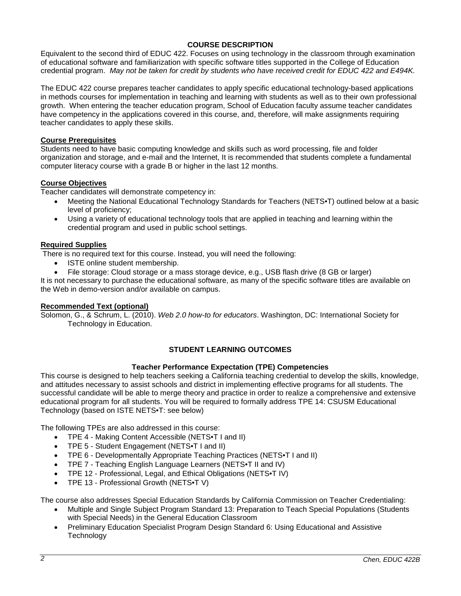## **COURSE DESCRIPTION**

Equivalent to the second third of EDUC 422. Focuses on using technology in the classroom through examination of educational software and familiarization with specific software titles supported in the College of Education credential program. *May not be taken for credit by students who have received credit for EDUC 422 and E494K.*

The EDUC 422 course prepares teacher candidates to apply specific educational technology-based applications in methods courses for implementation in teaching and learning with students as well as to their own professional growth. When entering the teacher education program, School of Education faculty assume teacher candidates have competency in the applications covered in this course, and, therefore, will make assignments requiring teacher candidates to apply these skills.

### **Course Prerequisites**

Students need to have basic computing knowledge and skills such as word processing, file and folder organization and storage, and e-mail and the Internet, It is recommended that students complete a fundamental computer literacy course with a grade B or higher in the last 12 months.

### **Course Objectives**

Teacher candidates will demonstrate competency in:

- Meeting the National Educational Technology Standards for Teachers (NETS•T) outlined below at a basic level of proficiency;
- Using a variety of educational technology tools that are applied in teaching and learning within the credential program and used in public school settings.

### **Required Supplies**

There is no required text for this course. Instead, you will need the following:

- ISTE online student membership.
- File storage: Cloud storage or a mass storage device, e.g., USB flash drive (8 GB or larger)

It is not necessary to purchase the educational software, as many of the specific software titles are available on the Web in demo-version and/or available on campus.

### **Recommended Text (optional)**

Solomon, G., & Schrum, L. (2010). *Web 2.0 how-to for educators*. Washington, DC: International Society for Technology in Education.

## **STUDENT LEARNING OUTCOMES**

### **Teacher Performance Expectation (TPE) Competencies**

This course is designed to help teachers seeking a California teaching credential to develop the skills, knowledge, and attitudes necessary to assist schools and district in implementing effective programs for all students. The successful candidate will be able to merge theory and practice in order to realize a comprehensive and extensive educational program for all students. You will be required to formally address TPE 14: CSUSM Educational Technology (based on ISTE NETS•T: see below)

The following TPEs are also addressed in this course:

- TPE 4 Making Content Accessible (NETS•T I and II)
- TPE 5 Student Engagement (NETS•T I and II)
- TPE 6 Developmentally Appropriate Teaching Practices (NETS•T I and II)
- TPE 7 Teaching English Language Learners (NETS•T II and IV)
- TPE 12 Professional, Legal, and Ethical Obligations (NETS•T IV)
- TPE 13 Professional Growth (NETS•T V)

The course also addresses Special Education Standards by California Commission on Teacher Credentialing:

- Multiple and Single Subject Program Standard 13: Preparation to Teach Special Populations (Students with Special Needs) in the General Education Classroom
- Preliminary Education Specialist Program Design Standard 6: Using Educational and Assistive **Technology**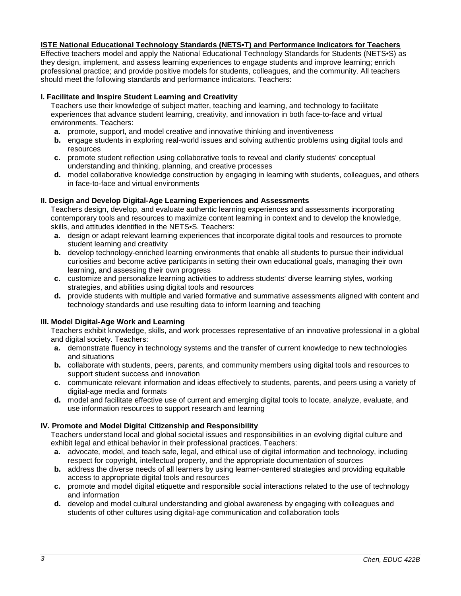### **ISTE National Educational Technology Standards (NETS•T) and Performance Indicators for Teachers**

Effective teachers model and apply the National Educational Technology Standards for Students (NETS•S) as they design, implement, and assess learning experiences to engage students and improve learning; enrich professional practice; and provide positive models for students, colleagues, and the community. All teachers should meet the following standards and performance indicators. Teachers:

## **I. Facilitate and Inspire Student Learning and Creativity**

Teachers use their knowledge of subject matter, teaching and learning, and technology to facilitate experiences that advance student learning, creativity, and innovation in both face-to-face and virtual environments. Teachers:

- **a.** promote, support, and model creative and innovative thinking and inventiveness
- **b.** engage students in exploring real-world issues and solving authentic problems using digital tools and resources
- **c.** promote student reflection using collaborative tools to reveal and clarify students' conceptual understanding and thinking, planning, and creative processes
- **d.** model collaborative knowledge construction by engaging in learning with students, colleagues, and others in face-to-face and virtual environments

### **II. Design and Develop Digital-Age Learning Experiences and Assessments**

Teachers design, develop, and evaluate authentic learning experiences and assessments incorporating contemporary tools and resources to maximize content learning in context and to develop the knowledge, skills, and attitudes identified in the NETS•S. Teachers:

- **a.** design or adapt relevant learning experiences that incorporate digital tools and resources to promote student learning and creativity
- **b.** develop technology-enriched learning environments that enable all students to pursue their individual curiosities and become active participants in setting their own educational goals, managing their own learning, and assessing their own progress
- **c.** customize and personalize learning activities to address students' diverse learning styles, working strategies, and abilities using digital tools and resources
- **d.** provide students with multiple and varied formative and summative assessments aligned with content and technology standards and use resulting data to inform learning and teaching

### **III. Model Digital-Age Work and Learning**

Teachers exhibit knowledge, skills, and work processes representative of an innovative professional in a global and digital society. Teachers:

- **a.** demonstrate fluency in technology systems and the transfer of current knowledge to new technologies and situations
- **b.** collaborate with students, peers, parents, and community members using digital tools and resources to support student success and innovation
- **c.** communicate relevant information and ideas effectively to students, parents, and peers using a variety of digital-age media and formats
- **d.** model and facilitate effective use of current and emerging digital tools to locate, analyze, evaluate, and use information resources to support research and learning

## **IV. Promote and Model Digital Citizenship and Responsibility**

Teachers understand local and global societal issues and responsibilities in an evolving digital culture and exhibit legal and ethical behavior in their professional practices. Teachers:

- **a.** advocate, model, and teach safe, legal, and ethical use of digital information and technology, including respect for copyright, intellectual property, and the appropriate documentation of sources
- **b.** address the diverse needs of all learners by using learner-centered strategies and providing equitable access to appropriate digital tools and resources
- **c.** promote and model digital etiquette and responsible social interactions related to the use of technology and information
- **d.** develop and model cultural understanding and global awareness by engaging with colleagues and students of other cultures using digital-age communication and collaboration tools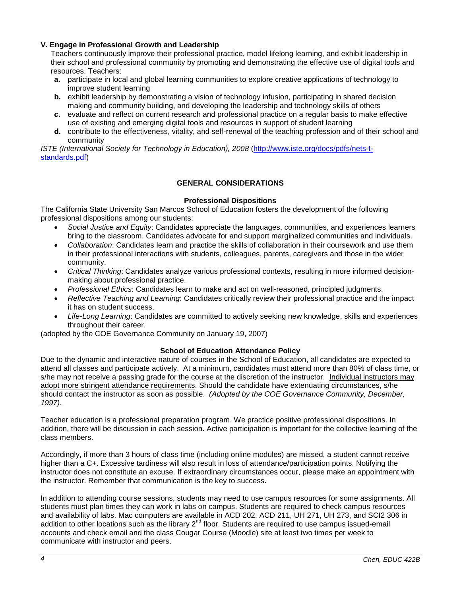## **V. Engage in Professional Growth and Leadership**

Teachers continuously improve their professional practice, model lifelong learning, and exhibit leadership in their school and professional community by promoting and demonstrating the effective use of digital tools and resources. Teachers:

- **a.** participate in local and global learning communities to explore creative applications of technology to improve student learning
- **b.** exhibit leadership by demonstrating a vision of technology infusion, participating in shared decision making and community building, and developing the leadership and technology skills of others
- **c.** evaluate and reflect on current research and professional practice on a regular basis to make effective use of existing and emerging digital tools and resources in support of student learning
- **d.** contribute to the effectiveness, vitality, and self-renewal of the teaching profession and of their school and community

*ISTE (International Society for Technology in Education), 2008* [\(http://www.iste.org/docs/pdfs/nets-t](http://www.iste.org/docs/pdfs/nets-t-standards.pdf)[standards.pdf\)](http://www.iste.org/docs/pdfs/nets-t-standards.pdf)

## **GENERAL CONSIDERATIONS**

### **Professional Dispositions**

The California State University San Marcos School of Education fosters the development of the following professional dispositions among our students:

- *Social Justice and Equity*: Candidates appreciate the languages, communities, and experiences learners bring to the classroom. Candidates advocate for and support marginalized communities and individuals.
- *Collaboration*: Candidates learn and practice the skills of collaboration in their coursework and use them in their professional interactions with students, colleagues, parents, caregivers and those in the wider community.
- *Critical Thinking*: Candidates analyze various professional contexts, resulting in more informed decisionmaking about professional practice.
- *Professional Ethics*: Candidates learn to make and act on well-reasoned, principled judgments.
- *Reflective Teaching and Learning*: Candidates critically review their professional practice and the impact it has on student success.
- *Life-Long Learning*: Candidates are committed to actively seeking new knowledge, skills and experiences throughout their career.

(adopted by the COE Governance Community on January 19, 2007)

### **School of Education Attendance Policy**

Due to the dynamic and interactive nature of courses in the School of Education, all candidates are expected to attend all classes and participate actively. At a minimum, candidates must attend more than 80% of class time, or s/he may not receive a passing grade for the course at the discretion of the instructor. Individual instructors may adopt more stringent attendance requirements. Should the candidate have extenuating circumstances, s/he should contact the instructor as soon as possible. *(Adopted by the COE Governance Community, December, 1997).*

Teacher education is a professional preparation program. We practice positive professional dispositions. In addition, there will be discussion in each session. Active participation is important for the collective learning of the class members.

Accordingly, if more than 3 hours of class time (including online modules) are missed, a student cannot receive higher than a C+. Excessive tardiness will also result in loss of attendance/participation points. Notifying the instructor does not constitute an excuse. If extraordinary circumstances occur, please make an appointment with the instructor. Remember that communication is the key to success.

In addition to attending course sessions, students may need to use campus resources for some assignments. All students must plan times they can work in labs on campus. Students are required to check campus resources and availability of labs. Mac computers are available in ACD 202, ACD 211, UH 271, UH 273, and SCI2 306 in addition to other locations such as the library 2<sup>nd</sup> floor. Students are required to use campus issued-email accounts and check email and the class Cougar Course (Moodle) site at least two times per week to communicate with instructor and peers.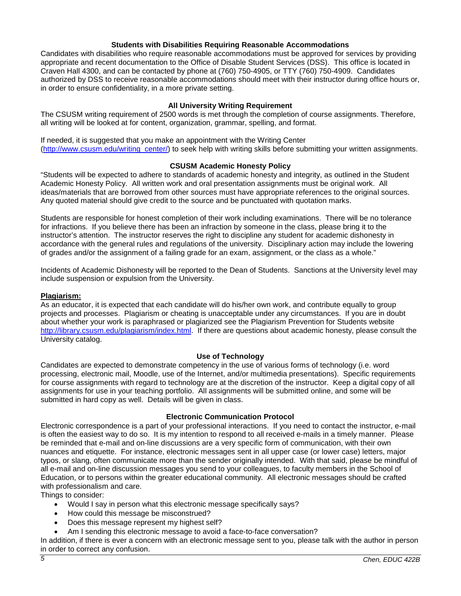### **Students with Disabilities Requiring Reasonable Accommodations**

Candidates with disabilities who require reasonable accommodations must be approved for services by providing appropriate and recent documentation to the Office of Disable Student Services (DSS). This office is located in Craven Hall 4300, and can be contacted by phone at (760) 750-4905, or TTY (760) 750-4909. Candidates authorized by DSS to receive reasonable accommodations should meet with their instructor during office hours or, in order to ensure confidentiality, in a more private setting.

### **All University Writing Requirement**

The CSUSM writing requirement of 2500 words is met through the completion of course assignments. Therefore, all writing will be looked at for content, organization, grammar, spelling, and format.

If needed, it is suggested that you make an appointment with the Writing Center [\(http://www.csusm.edu/writing\\_center/\)](http://www.csusm.edu/writing_center/) to seek help with writing skills before submitting your written assignments.

### **CSUSM Academic Honesty Policy**

"Students will be expected to adhere to standards of academic honesty and integrity, as outlined in the Student Academic Honesty Policy. All written work and oral presentation assignments must be original work. All ideas/materials that are borrowed from other sources must have appropriate references to the original sources. Any quoted material should give credit to the source and be punctuated with quotation marks.

Students are responsible for honest completion of their work including examinations. There will be no tolerance for infractions. If you believe there has been an infraction by someone in the class, please bring it to the instructor's attention. The instructor reserves the right to discipline any student for academic dishonesty in accordance with the general rules and regulations of the university. Disciplinary action may include the lowering of grades and/or the assignment of a failing grade for an exam, assignment, or the class as a whole."

Incidents of Academic Dishonesty will be reported to the Dean of Students. Sanctions at the University level may include suspension or expulsion from the University.

### **Plagiarism:**

As an educator, it is expected that each candidate will do his/her own work, and contribute equally to group projects and processes. Plagiarism or cheating is unacceptable under any circumstances. If you are in doubt about whether your work is paraphrased or plagiarized see the Plagiarism Prevention for Students website [http://library.csusm.edu/plagiarism/index.html.](http://library.csusm.edu/plagiarism/index.html) If there are questions about academic honesty, please consult the University catalog.

### **Use of Technology**

Candidates are expected to demonstrate competency in the use of various forms of technology (i.e. word processing, electronic mail, Moodle, use of the Internet, and/or multimedia presentations). Specific requirements for course assignments with regard to technology are at the discretion of the instructor. Keep a digital copy of all assignments for use in your teaching portfolio. All assignments will be submitted online, and some will be submitted in hard copy as well. Details will be given in class.

### **Electronic Communication Protocol**

Electronic correspondence is a part of your professional interactions. If you need to contact the instructor, e-mail is often the easiest way to do so. It is my intention to respond to all received e-mails in a timely manner. Please be reminded that e-mail and on-line discussions are a very specific form of communication, with their own nuances and etiquette. For instance, electronic messages sent in all upper case (or lower case) letters, major typos, or slang, often communicate more than the sender originally intended. With that said, please be mindful of all e-mail and on-line discussion messages you send to your colleagues, to faculty members in the School of Education, or to persons within the greater educational community. All electronic messages should be crafted with professionalism and care.

Things to consider:

- Would I say in person what this electronic message specifically says?
- How could this message be misconstrued?
- Does this message represent my highest self?
- Am I sending this electronic message to avoid a face-to-face conversation?

In addition, if there is ever a concern with an electronic message sent to you, please talk with the author in person in order to correct any confusion.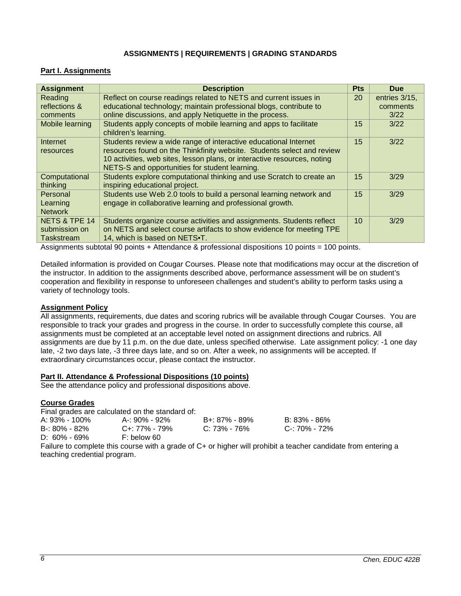## **ASSIGNMENTS | REQUIREMENTS | GRADING STANDARDS**

# **Part I. Assignments**

| <b>Assignment</b>                                       | <b>Description</b>                                                                                                                                                                                                                                                                | <b>Pts</b> | <b>Due</b>       |
|---------------------------------------------------------|-----------------------------------------------------------------------------------------------------------------------------------------------------------------------------------------------------------------------------------------------------------------------------------|------------|------------------|
| Reading                                                 | Reflect on course readings related to NETS and current issues in                                                                                                                                                                                                                  | 20         | entries 3/15,    |
| reflections &<br>comments                               | educational technology; maintain professional blogs, contribute to<br>online discussions, and apply Netiquette in the process.                                                                                                                                                    |            | comments<br>3/22 |
| Mobile learning                                         | Students apply concepts of mobile learning and apps to facilitate<br>children's learning.                                                                                                                                                                                         | 15         | 3/22             |
| Internet<br><b>resources</b>                            | Students review a wide range of interactive educational Internet<br>resources found on the Thinkfinity website. Students select and review<br>10 activities, web sites, lesson plans, or interactive resources, noting<br>NETS-S and opportunities for student learning.          | 15         | 3/22             |
| Computational<br>thinking                               | Students explore computational thinking and use Scratch to create an<br>inspiring educational project.                                                                                                                                                                            | 15         | 3/29             |
| Personal<br>Learning<br><b>Network</b>                  | Students use Web 2.0 tools to build a personal learning network and<br>engage in collaborative learning and professional growth.                                                                                                                                                  | 15         | 3/29             |
| <b>NETS &amp; TPE 14</b><br>submission on<br>Taskstream | Students organize course activities and assignments. Students reflect<br>on NETS and select course artifacts to show evidence for meeting TPE<br>14, which is based on NETS.T.<br>Assiming and subjected 00 website. Attendance 0 moderational discretions 40 metate - 400 metate | 10         | 3/29             |

Assignments subtotal 90 points + Attendance & professional dispositions 10 points = 100 points.

Detailed information is provided on Cougar Courses. Please note that modifications may occur at the discretion of the instructor. In addition to the assignments described above, performance assessment will be on student's cooperation and flexibility in response to unforeseen challenges and student's ability to perform tasks using a variety of technology tools.

## **Assignment Policy**

All assignments, requirements, due dates and scoring rubrics will be available through Cougar Courses. You are responsible to track your grades and progress in the course. In order to successfully complete this course, all assignments must be completed at an acceptable level noted on assignment directions and rubrics. All assignments are due by 11 p.m. on the due date, unless specified otherwise. Late assignment policy: -1 one day late, -2 two days late, -3 three days late, and so on. After a week, no assignments will be accepted. If extraordinary circumstances occur, please contact the instructor.

## **Part II. Attendance & Professional Dispositions (10 points)**

See the attendance policy and professional dispositions above.

### **Course Grades**

Final grades are calculated on the standard of:

| A: 93% - 100%     | A-: 90% - 92% | B+: 87% - 89% | B: 83% - 86%  |
|-------------------|---------------|---------------|---------------|
| $B - 80\% - 82\%$ | C+: 77% - 79% | C: 73% - 76%  | C-: 70% - 72% |
| $D: 60\% - 69\%$  | F: below 60   |               |               |

Failure to complete this course with a grade of C+ or higher will prohibit a teacher candidate from entering a teaching credential program.